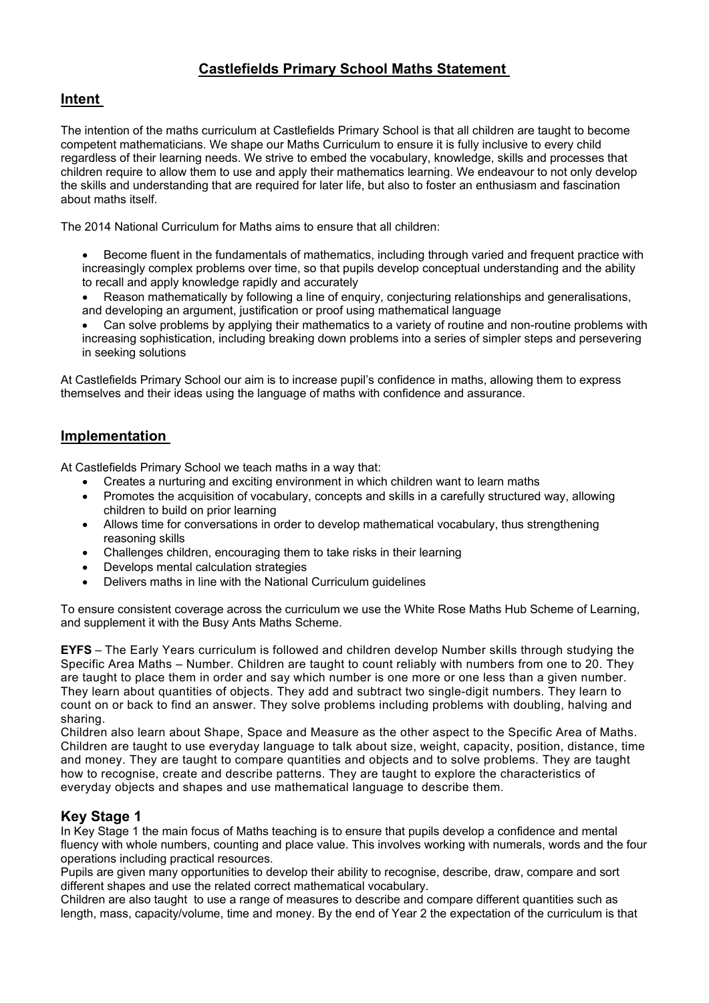# **Castlefields Primary School Maths Statement**

### **Intent**

The intention of the maths curriculum at Castlefields Primary School is that all children are taught to become competent mathematicians. We shape our Maths Curriculum to ensure it is fully inclusive to every child regardless of their learning needs. We strive to embed the vocabulary, knowledge, skills and processes that children require to allow them to use and apply their mathematics learning. We endeavour to not only develop the skills and understanding that are required for later life, but also to foster an enthusiasm and fascination about maths itself.

The 2014 National Curriculum for Maths aims to ensure that all children:

- Become fluent in the fundamentals of mathematics, including through varied and frequent practice with increasingly complex problems over time, so that pupils develop conceptual understanding and the ability to recall and apply knowledge rapidly and accurately
- Reason mathematically by following a line of enquiry, conjecturing relationships and generalisations, and developing an argument, justification or proof using mathematical language

• Can solve problems by applying their mathematics to a variety of routine and non-routine problems with increasing sophistication, including breaking down problems into a series of simpler steps and persevering in seeking solutions

At Castlefields Primary School our aim is to increase pupil's confidence in maths, allowing them to express themselves and their ideas using the language of maths with confidence and assurance.

## **Implementation**

At Castlefields Primary School we teach maths in a way that:

- Creates a nurturing and exciting environment in which children want to learn maths
- Promotes the acquisition of vocabulary, concepts and skills in a carefully structured way, allowing children to build on prior learning
- Allows time for conversations in order to develop mathematical vocabulary, thus strengthening reasoning skills
- Challenges children, encouraging them to take risks in their learning
- Develops mental calculation strategies
- Delivers maths in line with the National Curriculum guidelines

To ensure consistent coverage across the curriculum we use the White Rose Maths Hub Scheme of Learning, and supplement it with the Busy Ants Maths Scheme.

**EYFS** – The Early Years curriculum is followed and children develop Number skills through studying the Specific Area Maths – Number. Children are taught to count reliably with numbers from one to 20. They are taught to place them in order and say which number is one more or one less than a given number. They learn about quantities of objects. They add and subtract two single-digit numbers. They learn to count on or back to find an answer. They solve problems including problems with doubling, halving and sharing.

Children also learn about Shape, Space and Measure as the other aspect to the Specific Area of Maths. Children are taught to use everyday language to talk about size, weight, capacity, position, distance, time and money. They are taught to compare quantities and objects and to solve problems. They are taught how to recognise, create and describe patterns. They are taught to explore the characteristics of everyday objects and shapes and use mathematical language to describe them.

### **Key Stage 1**

In Key Stage 1 the main focus of Maths teaching is to ensure that pupils develop a confidence and mental fluency with whole numbers, counting and place value. This involves working with numerals, words and the four operations including practical resources.

Pupils are given many opportunities to develop their ability to recognise, describe, draw, compare and sort different shapes and use the related correct mathematical vocabulary.

Children are also taught to use a range of measures to describe and compare different quantities such as length, mass, capacity/volume, time and money. By the end of Year 2 the expectation of the curriculum is that